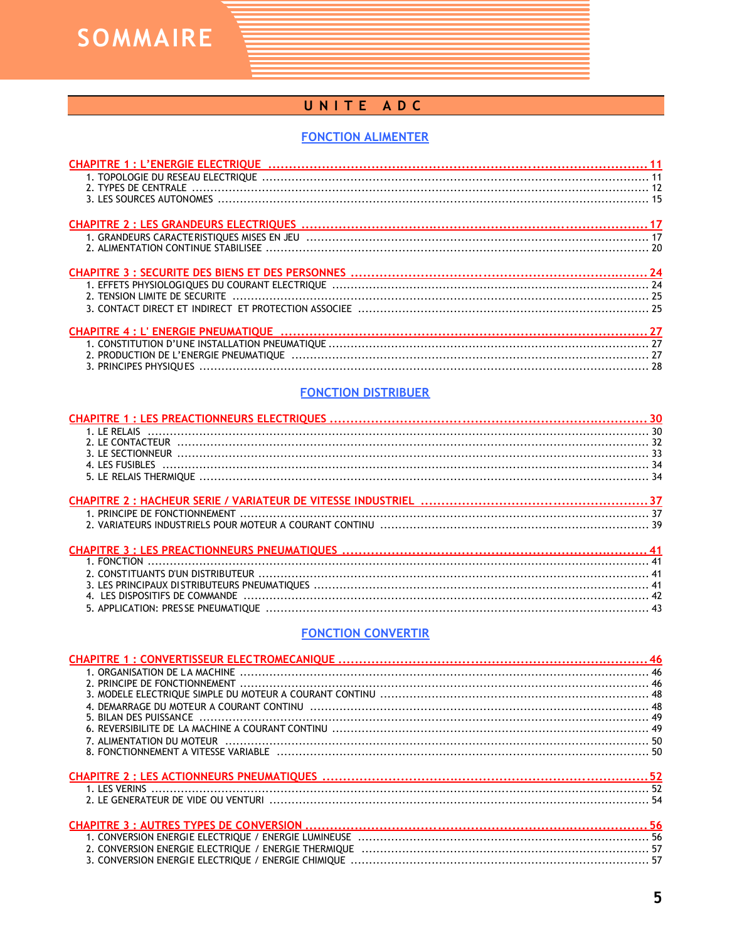**SOMMAIRE** 

# UNITE ADC

# **FONCTION ALIMENTER**

| 2. TENSION LIMITE DE SECURITE |  |
|-------------------------------|--|
|                               |  |
|                               |  |
|                               |  |
|                               |  |
|                               |  |
|                               |  |

#### **FONCTION DISTRIBUER**

#### **FONCTION CONVERTIR**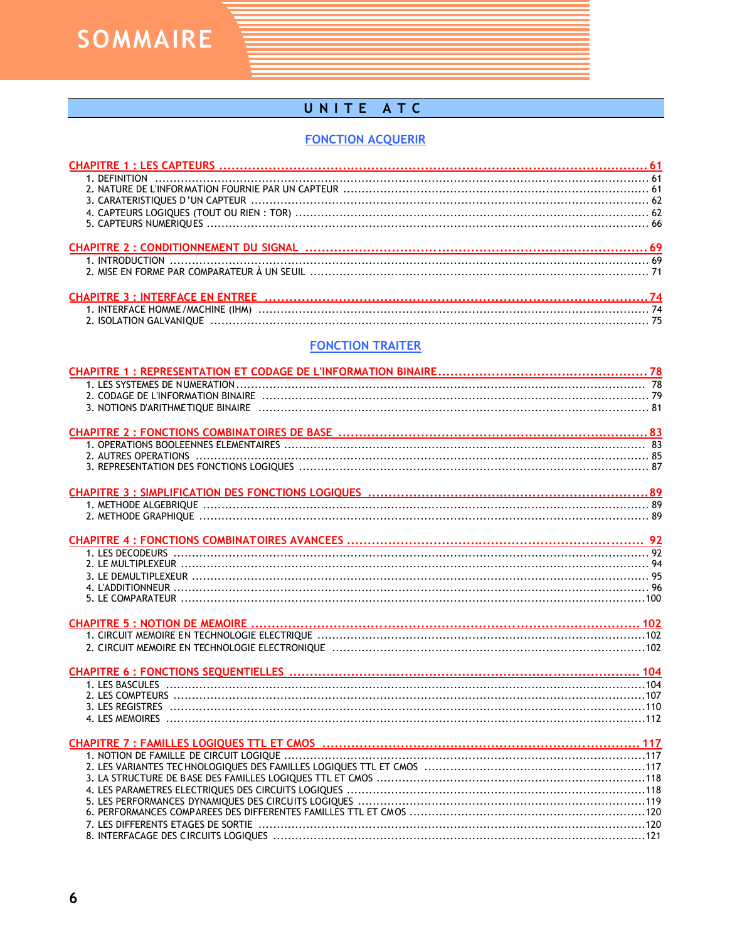**SOMMAIRE** 

# UNITE ATC

#### **FONCTION ACQUERIR**

# **FONCTION TRAITER**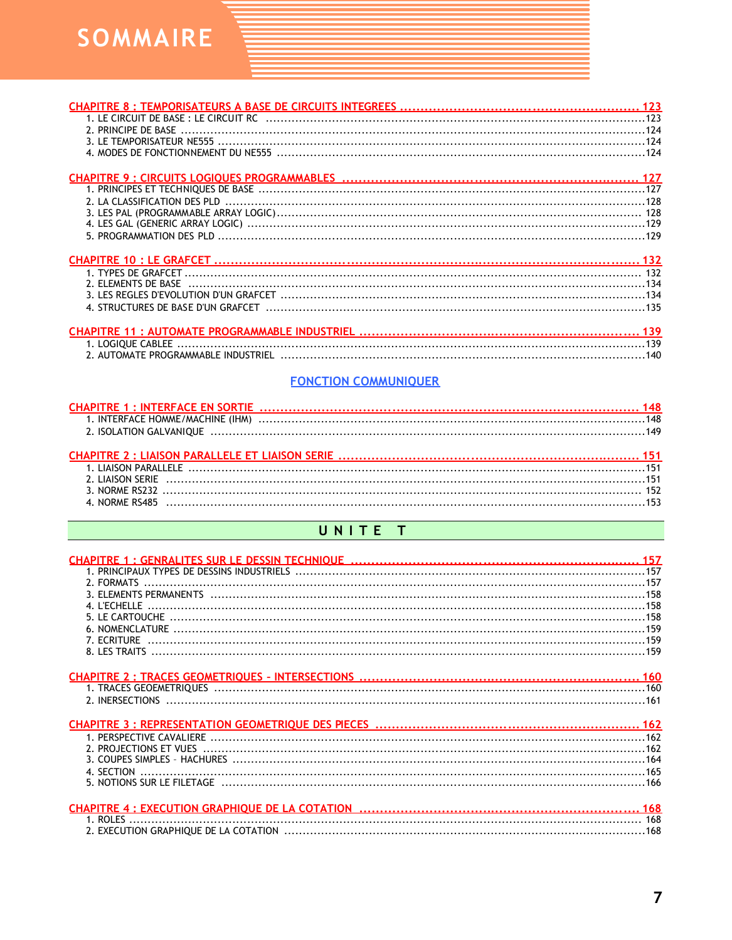

### **FONCTION COMMUNIQUER**

# UNITE T